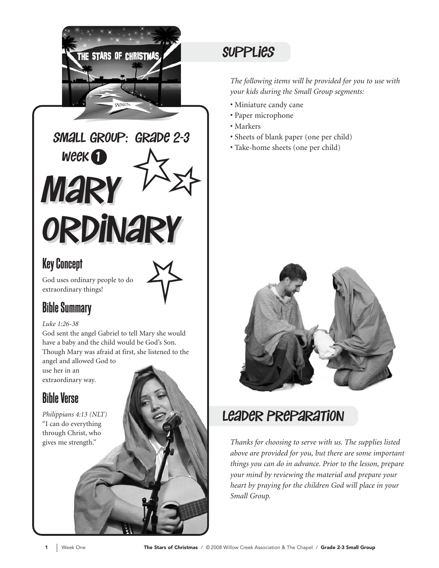

Mary Mary Ordinary Ordinary  $W$ eek $\bigodot$ small group: grade 2-3

#### Key Concept

God uses ordinary people to do extraordinary things!

#### Bible Summary

#### *Luke 1:26-38*

God sent the angel Gabriel to tell Mary she would have a baby and the child would be God's Son. Though Mary was afraid at first, she listened to the

angel and allowed God to use her in an extraordinary way.

### Bible Verse

*Philippians 4:13 (NLT)*  "I can do everything through Christ, who gives me strength."

### **SUPPLIES**

*The following items will be provided for you to use with your kids during the Small Group segments:*

- Miniature candy cane
- Paper microphone
- Markers
- Sheets of blank paper (one per child)
- Take-home sheets (one per child)



#### leader Preparation

*Thanks for choosing to serve with us. The supplies listed above are provided for you, but there are some important things you can do in advance. Prior to the lesson, prepare your mind by reviewing the material and prepare your heart by praying for the children God will place in your Small Group.*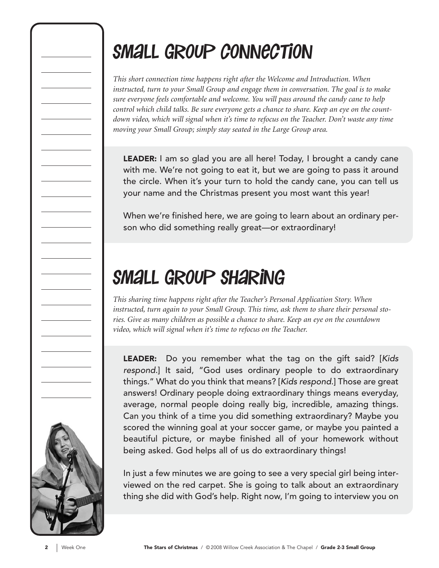## Small Group connection

*This short connection time happens right after the Welcome and Introduction. When instructed, turn to your Small Group and engage them in conversation. The goal is to make sure everyone feels comfortable and welcome. You will pass around the candy cane to help control which child talks. Be sure everyone gets a chance to share. Keep an eye on the countdown video, which will signal when it's time to refocus on the Teacher. Don't waste any time moving your Small Group; simply stay seated in the Large Group area.*

LEADER: I am so glad you are all here! Today, I brought a candy cane with me. We're not going to eat it, but we are going to pass it around the circle. When it's your turn to hold the candy cane, you can tell us your name and the Christmas present you most want this year!

When we're finished here, we are going to learn about an ordinary person who did something really great—or extraordinary!

## Small Group Sharing

*This sharing time happens right after the Teacher's Personal Application Story. When instructed, turn again to your Small Group. This time, ask them to share their personal stories. Give as many children as possible a chance to share. Keep an eye on the countdown video, which will signal when it's time to refocus on the Teacher.*

LEADER: Do you remember what the tag on the gift said? [Kids respond.] It said, "God uses ordinary people to do extraordinary things." What do you think that means? [Kids respond.] Those are great answers! Ordinary people doing extraordinary things means everyday, average, normal people doing really big, incredible, amazing things. Can you think of a time you did something extraordinary? Maybe you scored the winning goal at your soccer game, or maybe you painted a beautiful picture, or maybe finished all of your homework without being asked. God helps all of us do extraordinary things!

In just a few minutes we are going to see a very special girl being interviewed on the red carpet. She is going to talk about an extraordinary thing she did with God's help. Right now, I'm going to interview you on

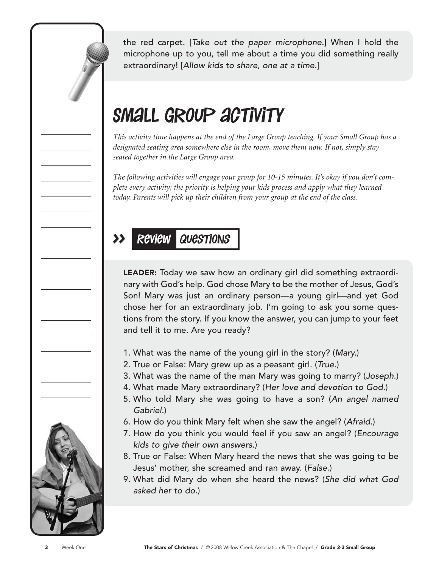the red carpet. [Take out the paper microphone.] When I hold the microphone up to you, tell me about a time you did something really extraordinary! [Allow kids to share, one at a time.]

## SMALL GROUP ACTIVITY

*This activity time happens at the end of the Large Group teaching. If your Small Group has a designated seating area somewhere else in the room, move them now. If not, simply stay seated together in the Large Group area.*

*The following activities will engage your group for 10-15 minutes. It's okay if you don't complete every activity; the priority is helping your kids process and apply what they learned today. Parents will pick up their children from your group at the end of the class.*

#### >> Review Questions

LEADER: Today we saw how an ordinary girl did something extraordinary with God's help. God chose Mary to be the mother of Jesus, God's Son! Mary was just an ordinary person—a young girl—and yet God chose her for an extraordinary job. I'm going to ask you some questions from the story. If you know the answer, you can jump to your feet and tell it to me. Are you ready?

- 1. What was the name of the young girl in the story? (Mary.)
- 2. True or False: Mary grew up as a peasant girl. (True.)
- 3. What was the name of the man Mary was going to marry? (Joseph.)
- 4. What made Mary extraordinary? (Her love and devotion to God.)
- 5. Who told Mary she was going to have a son? (An angel named Gabriel.)
- 6. How do you think Mary felt when she saw the angel? (Afraid.)
- 7. How do you think you would feel if you saw an angel? (Encourage kids to give their own answers.)
- 8. True or False: When Mary heard the news that she was going to be Jesus' mother, she screamed and ran away. (False.)
- 9. What did Mary do when she heard the news? (She did what God asked her to do.)

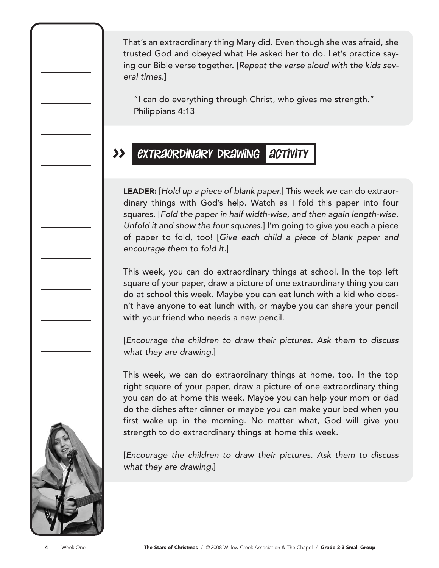That's an extraordinary thing Mary did. Even though she was afraid, she trusted God and obeyed what He asked her to do. Let's practice saying our Bible verse together. [Repeat the verse aloud with the kids several times.]

"I can do everything through Christ, who gives me strength." Philippians 4:13

#### >> extraordinary drawing activity

LEADER: [Hold up a piece of blank paper.] This week we can do extraordinary things with God's help. Watch as I fold this paper into four squares. [Fold the paper in half width-wise, and then again length-wise. Unfold it and show the four squares.] I'm going to give you each a piece of paper to fold, too! [Give each child a piece of blank paper and encourage them to fold it.]

This week, you can do extraordinary things at school. In the top left square of your paper, draw a picture of one extraordinary thing you can do at school this week. Maybe you can eat lunch with a kid who doesn't have anyone to eat lunch with, or maybe you can share your pencil with your friend who needs a new pencil.

[Encourage the children to draw their pictures. Ask them to discuss what they are drawing.]

This week, we can do extraordinary things at home, too. In the top right square of your paper, draw a picture of one extraordinary thing you can do at home this week. Maybe you can help your mom or dad do the dishes after dinner or maybe you can make your bed when you first wake up in the morning. No matter what, God will give you strength to do extraordinary things at home this week.

[Encourage the children to draw their pictures. Ask them to discuss what they are drawing.]

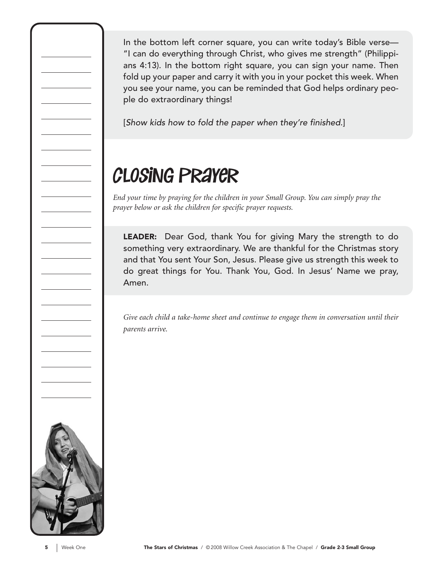In the bottom left corner square, you can write today's Bible verse— "I can do everything through Christ, who gives me strength" (Philippians 4:13). In the bottom right square, you can sign your name. Then fold up your paper and carry it with you in your pocket this week. When you see your name, you can be reminded that God helps ordinary people do extraordinary things!

[Show kids how to fold the paper when they're finished.]

## closing prayer

*End your time by praying for the children in your Small Group. You can simply pray the prayer below or ask the children for specific prayer requests.*

LEADER: Dear God, thank You for giving Mary the strength to do something very extraordinary. We are thankful for the Christmas story and that You sent Your Son, Jesus. Please give us strength this week to do great things for You. Thank You, God. In Jesus' Name we pray, Amen.

*Give each child a take-home sheet and continue to engage them in conversation until their parents arrive.*